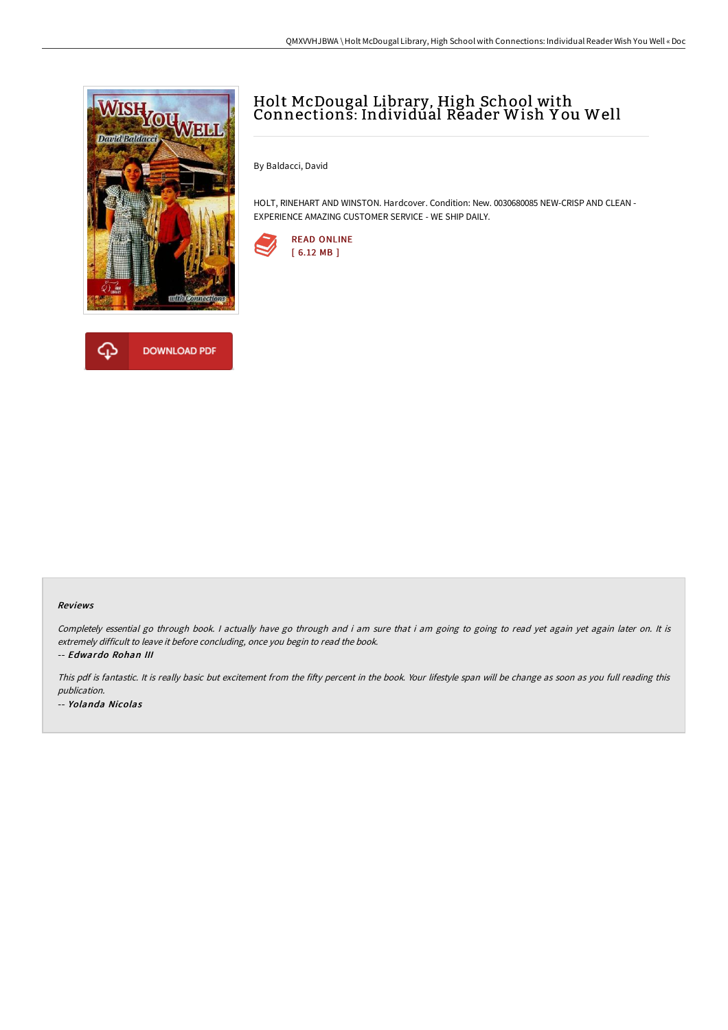



# Holt McDougal Library, High School with Connections: Individual Reader Wish Y ou Well

By Baldacci, David

HOLT, RINEHART AND WINSTON. Hardcover. Condition: New. 0030680085 NEW-CRISP AND CLEAN - EXPERIENCE AMAZING CUSTOMER SERVICE - WE SHIP DAILY.



#### Reviews

Completely essential go through book. I actually have go through and i am sure that i am going to going to read yet again yet again later on. It is extremely difficult to leave it before concluding, once you begin to read the book.

-- Edwardo Rohan III

This pdf is fantastic. It is really basic but excitement from the fifty percent in the book. Your lifestyle span will be change as soon as you full reading this publication. -- Yolanda Nicolas